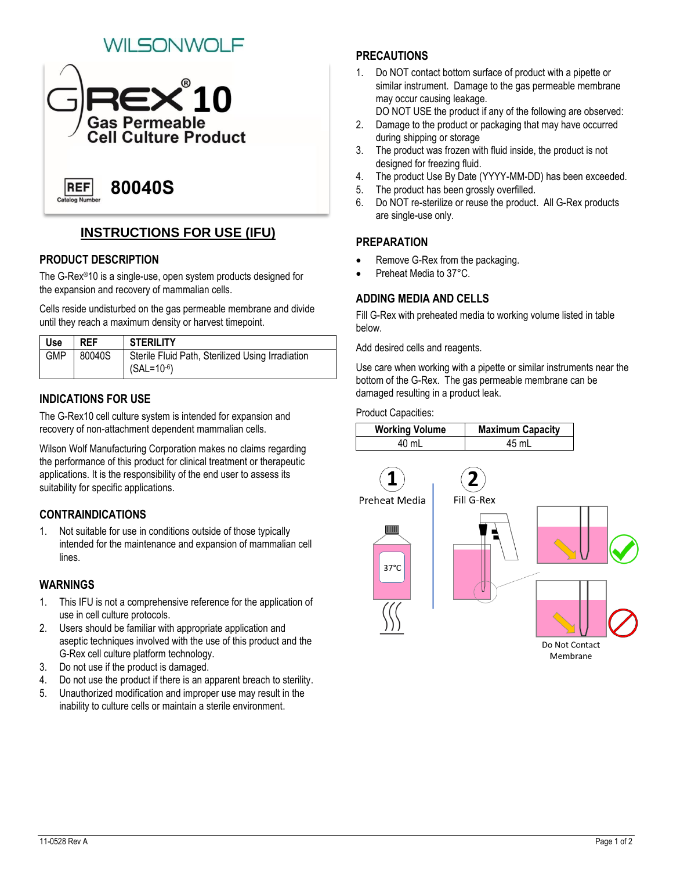# WILSONWOLF



## **INSTRUCTIONS FOR USE (IFU)**

#### **PRODUCT DESCRIPTION**

The G-Rex®10 is a single-use, open system products designed for the expansion and recovery of mammalian cells.

Cells reside undisturbed on the gas permeable membrane and divide until they reach a maximum density or harvest timepoint.

| Use        | <b>REF</b> | <b>STERILITY</b>                                                 |
|------------|------------|------------------------------------------------------------------|
| <b>GMP</b> | 80040S     | Sterile Fluid Path, Sterilized Using Irradiation<br>$(SAL=10-6)$ |

### **INDICATIONS FOR USE**

The G-Rex10 cell culture system is intended for expansion and recovery of non-attachment dependent mammalian cells.

Wilson Wolf Manufacturing Corporation makes no claims regarding the performance of this product for clinical treatment or therapeutic applications. It is the responsibility of the end user to assess its suitability for specific applications.

### **CONTRAINDICATIONS**

1. Not suitable for use in conditions outside of those typically intended for the maintenance and expansion of mammalian cell lines.

#### **WARNINGS**

- 1. This IFU is not a comprehensive reference for the application of use in cell culture protocols.
- 2. Users should be familiar with appropriate application and aseptic techniques involved with the use of this product and the G-Rex cell culture platform technology.
- 3. Do not use if the product is damaged.
- 4. Do not use the product if there is an apparent breach to sterility.
- 5. Unauthorized modification and improper use may result in the inability to culture cells or maintain a sterile environment.

## **PRECAUTIONS**

- 1. Do NOT contact bottom surface of product with a pipette or similar instrument. Damage to the gas permeable membrane may occur causing leakage.
- DO NOT USE the product if any of the following are observed:
- 2. Damage to the product or packaging that may have occurred during shipping or storage
- 3. The product was frozen with fluid inside, the product is not designed for freezing fluid.
- 4. The product Use By Date (YYYY-MM-DD) has been exceeded.
- 5. The product has been grossly overfilled.
- 6. Do NOT re-sterilize or reuse the product. All G-Rex products are single-use only.

#### **PREPARATION**

- Remove G-Rex from the packaging.
- Preheat Media to 37°C.

#### **ADDING MEDIA AND CELLS**

Fill G-Rex with preheated media to working volume listed in table below.

Add desired cells and reagents.

Use care when working with a pipette or similar instruments near the bottom of the G-Rex. The gas permeable membrane can be damaged resulting in a product leak.

Product Capacities:

| <b>Working Volume</b> | <b>Maximum Capacity</b> |  |
|-----------------------|-------------------------|--|
| 40 mL                 | 45 mL                   |  |